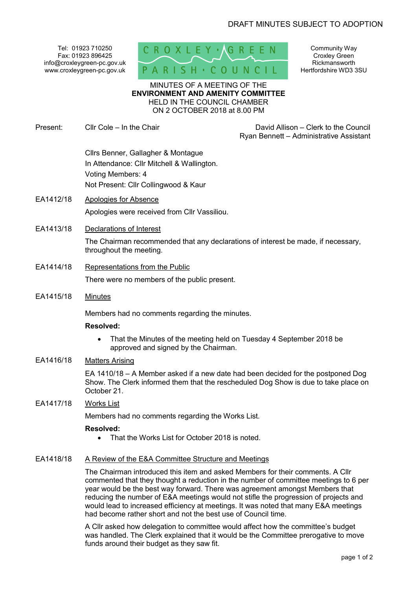Tel: 01923 710250 Fax: 01923 896425 info@croxleygreen-pc.gov.uk www.croxleygreen-pc.gov.uk



Community Way Croxley Green Rickmansworth Hertfordshire WD3 3SU

MINUTES OF A MEETING OF THE **ENVIRONMENT AND AMENITY COMMITTEE** HELD IN THE COUNCIL CHAMBER ON 2 OCTOBER 2018 at 8.00 PM

Present: Cllr Cole – In the Chair David Allison – Clerk to the Council Ryan Bennett – Administrative Assistant Cllrs Benner, Gallagher & Montague In Attendance: Cllr Mitchell & Wallington. Voting Members: 4 Not Present: Cllr Collingwood & Kaur EA1412/18 Apologies for Absence Apologies were received from Cllr Vassiliou. EA1413/18 Declarations of Interest The Chairman recommended that any declarations of interest be made, if necessary, throughout the meeting. EA1414/18 Representations from the Public There were no members of the public present. EA1415/18 Minutes Members had no comments regarding the minutes. **Resolved:**  That the Minutes of the meeting held on Tuesday 4 September 2018 be approved and signed by the Chairman. EA1416/18 Matters Arising EA 1410/18 – A Member asked if a new date had been decided for the postponed Dog Show. The Clerk informed them that the rescheduled Dog Show is due to take place on October 21. EA1417/18 Works List Members had no comments regarding the Works List. **Resolved:**  • That the Works List for October 2018 is noted. EA1418/18 A Review of the E&A Committee Structure and Meetings The Chairman introduced this item and asked Members for their comments. A Cllr commented that they thought a reduction in the number of committee meetings to 6 per year would be the best way forward. There was agreement amongst Members that reducing the number of E&A meetings would not stifle the progression of projects and would lead to increased efficiency at meetings. It was noted that many E&A meetings had become rather short and not the best use of Council time. A Cllr asked how delegation to committee would affect how the committee's budget was handled. The Clerk explained that it would be the Committee prerogative to move funds around their budget as they saw fit.